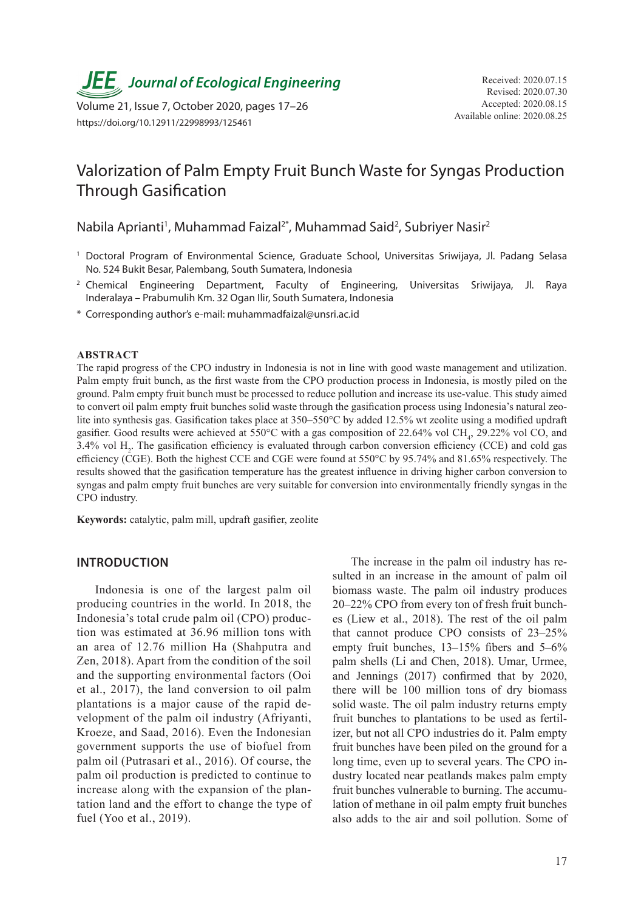

Available online: 2020.08.25 Volume 21, Issue 7, October 2020, pages 17–26 https://doi.org/10.12911/22998993/125461

# Valorization of Palm Empty Fruit Bunch Waste for Syngas Production Through Gasification

Nabila Aprianti<sup>1</sup>, Muhammad Faizal<sup>2\*</sup>, Muhammad Said<sup>2</sup>, Subriyer Nasir<sup>2</sup>

- <sup>1</sup> Doctoral Program of Environmental Science, Graduate School, Universitas Sriwijaya, Jl. Padang Selasa No. 524 Bukit Besar, Palembang, South Sumatera, Indonesia
- <sup>2</sup> Chemical Engineering Department, Faculty of Engineering, Universitas Sriwijaya, Jl. Raya Inderalaya – Prabumulih Km. 32 Ogan Ilir, South Sumatera, Indonesia
- \* Corresponding author's e-mail: muhammadfaizal@unsri.ac.id

#### **ABSTRACT**

The rapid progress of the CPO industry in Indonesia is not in line with good waste management and utilization. Palm empty fruit bunch, as the first waste from the CPO production process in Indonesia, is mostly piled on the ground. Palm empty fruit bunch must be processed to reduce pollution and increase its use-value. This study aimed to convert oil palm empty fruit bunches solid waste through the gasification process using Indonesia's natural zeolite into synthesis gas. Gasification takes place at 350–550°C by added 12.5% wt zeolite using a modified updraft gasifier. Good results were achieved at 550°C with a gas composition of 22.64% vol CH<sub>4</sub>, 29.22% vol CO, and 3.4% vol  $H_2$ . The gasification efficiency is evaluated through carbon conversion efficiency (CCE) and cold gas efficiency (CGE). Both the highest CCE and CGE were found at 550°C by 95.74% and 81.65% respectively. The results showed that the gasification temperature has the greatest influence in driving higher carbon conversion to syngas and palm empty fruit bunches are very suitable for conversion into environmentally friendly syngas in the CPO industry.

**Keywords:** catalytic, palm mill, updraft gasifier, zeolite

# **INTRODUCTION**

Indonesia is one of the largest palm oil producing countries in the world. In 2018, the Indonesia's total crude palm oil (CPO) production was estimated at 36.96 million tons with an area of 12.76 million Ha (Shahputra and Zen, 2018). Apart from the condition of the soil and the supporting environmental factors (Ooi et al., 2017), the land conversion to oil palm plantations is a major cause of the rapid development of the palm oil industry (Afriyanti, Kroeze, and Saad, 2016). Even the Indonesian government supports the use of biofuel from palm oil (Putrasari et al., 2016). Of course, the palm oil production is predicted to continue to increase along with the expansion of the plantation land and the effort to change the type of fuel (Yoo et al., 2019).

The increase in the palm oil industry has resulted in an increase in the amount of palm oil biomass waste. The palm oil industry produces 20–22% CPO from every ton of fresh fruit bunches (Liew et al., 2018). The rest of the oil palm that cannot produce CPO consists of 23–25% empty fruit bunches, 13–15% fibers and 5–6% palm shells (Li and Chen, 2018). Umar, Urmee, and Jennings (2017) confirmed that by 2020, there will be 100 million tons of dry biomass solid waste. The oil palm industry returns empty fruit bunches to plantations to be used as fertilizer, but not all CPO industries do it. Palm empty fruit bunches have been piled on the ground for a long time, even up to several years. The CPO industry located near peatlands makes palm empty fruit bunches vulnerable to burning. The accumulation of methane in oil palm empty fruit bunches also adds to the air and soil pollution. Some of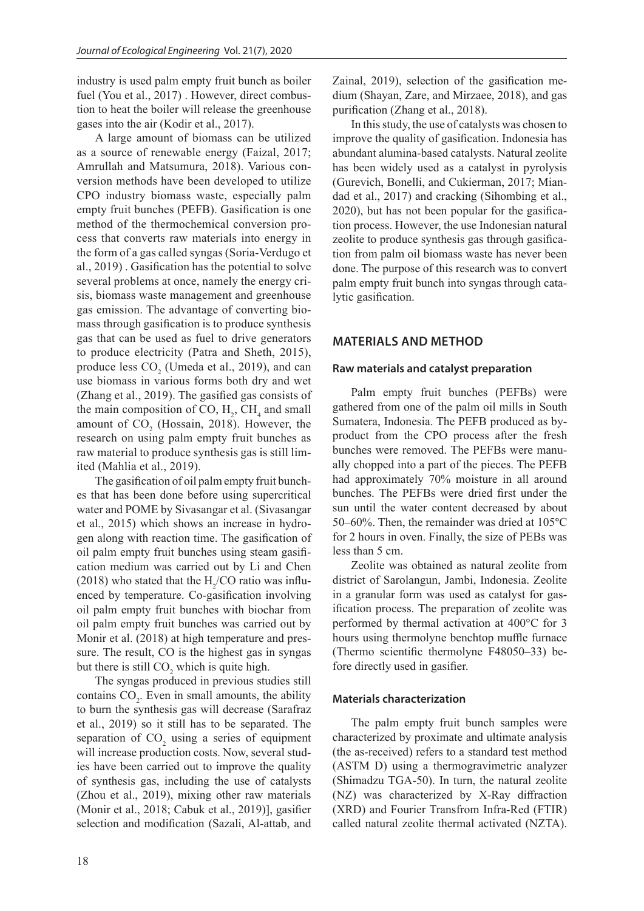industry is used palm empty fruit bunch as boiler fuel (You et al., 2017) . However, direct combustion to heat the boiler will release the greenhouse gases into the air (Kodir et al., 2017).

A large amount of biomass can be utilized as a source of renewable energy (Faizal, 2017; Amrullah and Matsumura, 2018). Various conversion methods have been developed to utilize CPO industry biomass waste, especially palm empty fruit bunches (PEFB). Gasification is one method of the thermochemical conversion process that converts raw materials into energy in the form of a gas called syngas (Soria-Verdugo et al., 2019) . Gasification has the potential to solve several problems at once, namely the energy crisis, biomass waste management and greenhouse gas emission. The advantage of converting biomass through gasification is to produce synthesis gas that can be used as fuel to drive generators to produce electricity (Patra and Sheth, 2015), produce less  $CO_2$  (Umeda et al., 2019), and can use biomass in various forms both dry and wet (Zhang et al., 2019). The gasified gas consists of the main composition of CO,  $H_2$ , CH<sub>4</sub> and small amount of  $CO<sub>2</sub>$  (Hossain, 2018). However, the research on using palm empty fruit bunches as raw material to produce synthesis gas is still limited (Mahlia et al., 2019).

The gasification of oil palm empty fruit bunches that has been done before using supercritical water and POME by Sivasangar et al. (Sivasangar et al., 2015) which shows an increase in hydrogen along with reaction time. The gasification of oil palm empty fruit bunches using steam gasification medium was carried out by Li and Chen (2018) who stated that the  $H_2$ /CO ratio was influenced by temperature. Co-gasification involving oil palm empty fruit bunches with biochar from oil palm empty fruit bunches was carried out by Monir et al. (2018) at high temperature and pressure. The result, CO is the highest gas in syngas but there is still  $CO_2$  which is quite high.

The syngas produced in previous studies still contains  $CO<sub>2</sub>$ . Even in small amounts, the ability to burn the synthesis gas will decrease (Sarafraz et al., 2019) so it still has to be separated. The separation of  $CO<sub>2</sub>$  using a series of equipment will increase production costs. Now, several studies have been carried out to improve the quality of synthesis gas, including the use of catalysts (Zhou et al., 2019), mixing other raw materials (Monir et al., 2018; Cabuk et al., 2019)], gasifier selection and modification (Sazali, Al-attab, and

Zainal, 2019), selection of the gasification medium (Shayan, Zare, and Mirzaee, 2018), and gas purification (Zhang et al., 2018).

In this study, the use of catalysts was chosen to improve the quality of gasification. Indonesia has abundant alumina-based catalysts. Natural zeolite has been widely used as a catalyst in pyrolysis (Gurevich, Bonelli, and Cukierman, 2017; Miandad et al., 2017) and cracking (Sihombing et al., 2020), but has not been popular for the gasification process. However, the use Indonesian natural zeolite to produce synthesis gas through gasification from palm oil biomass waste has never been done. The purpose of this research was to convert palm empty fruit bunch into syngas through catalytic gasification.

# **MATERIALS AND METHOD**

#### **Raw materials and catalyst preparation**

Palm empty fruit bunches (PEFBs) were gathered from one of the palm oil mills in South Sumatera, Indonesia. The PEFB produced as byproduct from the CPO process after the fresh bunches were removed. The PEFBs were manually chopped into a part of the pieces. The PEFB had approximately 70% moisture in all around bunches. The PEFBs were dried first under the sun until the water content decreased by about 50–60%. Then, the remainder was dried at 105°C for 2 hours in oven. Finally, the size of PEBs was less than 5 cm.

Zeolite was obtained as natural zeolite from district of Sarolangun, Jambi, Indonesia. Zeolite in a granular form was used as catalyst for gasification process. The preparation of zeolite was performed by thermal activation at 400°C for 3 hours using thermolyne benchtop muffle furnace (Thermo scientific thermolyne F48050–33) before directly used in gasifier.

# **Materials characterization**

The palm empty fruit bunch samples were characterized by proximate and ultimate analysis (the as-received) refers to a standard test method (ASTM D) using a thermogravimetric analyzer (Shimadzu TGA-50). In turn, the natural zeolite (NZ) was characterized by X-Ray diffraction (XRD) and Fourier Transfrom Infra-Red (FTIR) called natural zeolite thermal activated (NZTA).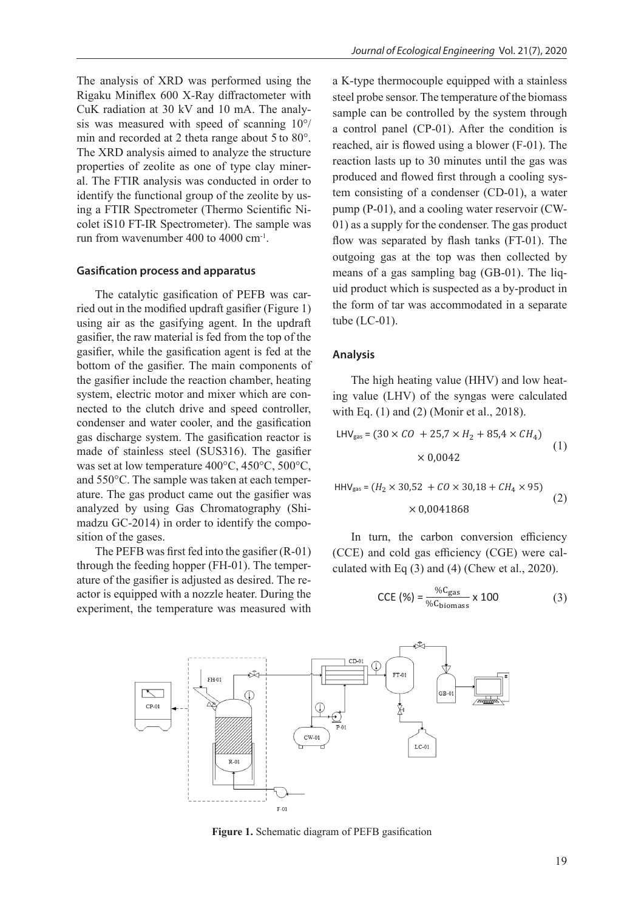The analysis of XRD was performed using the Rigaku Miniflex 600 X-Ray diffractometer with CuK radiation at 30 kV and 10 mA. The analysis was measured with speed of scanning 10°/ min and recorded at 2 theta range about 5 to 80°. The XRD analysis aimed to analyze the structure properties of zeolite as one of type clay mineral. The FTIR analysis was conducted in order to identify the functional group of the zeolite by using a FTIR Spectrometer (Thermo Scientific Nicolet iS10 FT-IR Spectrometer). The sample was run from wavenumber 400 to 4000 cm-1.

### **Gasification process and apparatus**

The catalytic gasification of PEFB was carried out in the modified updraft gasifier (Figure 1) using air as the gasifying agent. In the updraft gasifier, the raw material is fed from the top of the gasifier, while the gasification agent is fed at the bottom of the gasifier. The main components of the gasifier include the reaction chamber, heating system, electric motor and mixer which are connected to the clutch drive and speed controller, condenser and water cooler, and the gasification gas discharge system. The gasification reactor is made of stainless steel (SUS316). The gasifier was set at low temperature  $400^{\circ}$ C,  $450^{\circ}$ C,  $500^{\circ}$ C,  $850^{\circ}$ C,  $850^{\circ}$ C,  $850^{\circ}$ C,  $850^{\circ}$ C,  $850^{\circ}$ C,  $850^{\circ}$ C,  $850^{\circ}$ C,  $850^{\circ}$ C,  $850^{\circ}$ C,  $850^{\circ}$ C,  $850^{\circ}$ C,  $850^{\circ}$ C,  $850^{\circ}$ C,  $8$ and 550°C. The sample was taken at each temperature. The gas product came out the gasifier was analyzed by using Gas Chromatography (Shi- $\times 0.0041868$ madzu GC-2014) in order to identify the composition of the gases.

The PEFB was first fed into the gasifier (R-01) through the feeding hopper (FH-01). The temperature of the gasifier is adjusted as desired. The reactor is equipped with a nozzle heater. During the experiment, the temperature was measured with a K-type thermocouple equipped with a stainless steel probe sensor. The temperature of the biomass sample can be controlled by the system through a control panel (CP-01). After the condition is reached, air is flowed using a blower (F-01). The reaction lasts up to 30 minutes until the gas was produced and flowed first through a cooling system consisting of a condenser (CD-01), a water pump (P-01), and a cooling water reservoir (CW-01) as a supply for the condenser. The gas product flow was separated by flash tanks (FT-01). The outgoing gas at the top was then collected by means of a gas sampling bag (GB-01). The liquid product which is suspected as a by-product in the form of tar was accommodated in a separate tube (LC-01).

#### **Analysis**

The high heating value (HHV) and low heating value (LHV) of the syngas were calculated with Eq. (1) and (2) (Monir et al., 2018).

$$
LHV_{gas} = (30 \times CO + 25.7 \times H_2 + 85.4 \times CH_4)
$$
  
× 0.0042 (1)

$$
HHV_{gas} = (H_2 \times 30,52 + CO \times 30,18 + CH_4 \times 95)
$$
  
× 0.0041868 (2)

In turn, the carbon conversion efficiency (CCE) and cold gas efficiency (CGE) were calculated with Eq (3) and (4) (Chew et al., 2020).

$$
\text{CCE } (\%) = \frac{\% \text{C}_{\text{gas}}}{\% \text{C}_{\text{biomass}}} \times 100 \tag{3}
$$



**Figure 1.** Schematic diagram of PEFB gasification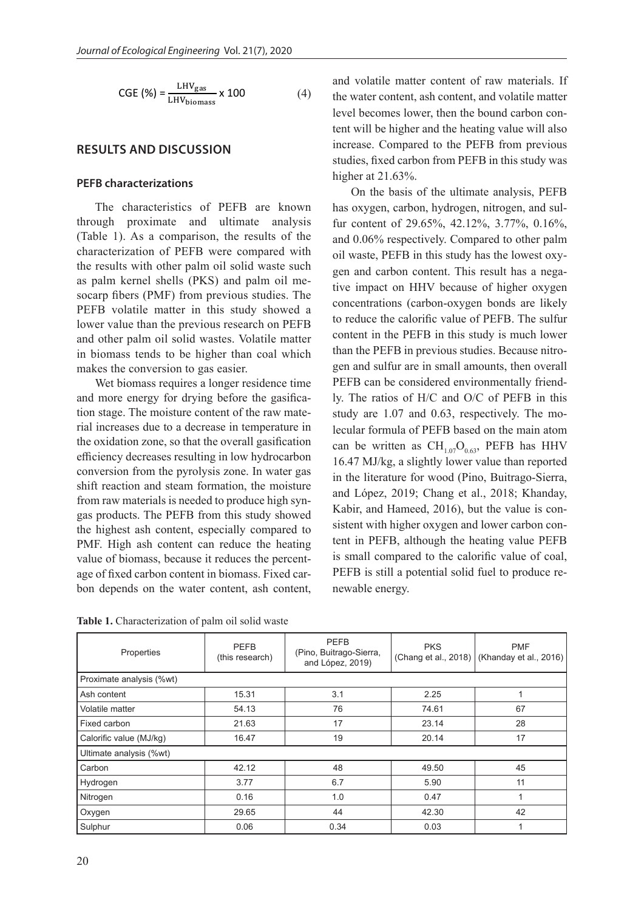$$
CGE (\%) = \frac{LHV_{gas}}{LHV_{biomass}} \times 100
$$
 (4)

# **RESULTS AND DISCUSSION**

# **PEFB characterizations**

The characteristics of PEFB are known through proximate and ultimate analysis (Table 1). As a comparison, the results of the characterization of PEFB were compared with the results with other palm oil solid waste such as palm kernel shells (PKS) and palm oil mesocarp fibers (PMF) from previous studies. The PEFB volatile matter in this study showed a lower value than the previous research on PEFB and other palm oil solid wastes. Volatile matter in biomass tends to be higher than coal which makes the conversion to gas easier.

Wet biomass requires a longer residence time and more energy for drying before the gasification stage. The moisture content of the raw material increases due to a decrease in temperature in the oxidation zone, so that the overall gasification efficiency decreases resulting in low hydrocarbon conversion from the pyrolysis zone. In water gas shift reaction and steam formation, the moisture from raw materials is needed to produce high syngas products. The PEFB from this study showed the highest ash content, especially compared to PMF. High ash content can reduce the heating value of biomass, because it reduces the percentage of fixed carbon content in biomass. Fixed carbon depends on the water content, ash content, and volatile matter content of raw materials. If the water content, ash content, and volatile matter level becomes lower, then the bound carbon content will be higher and the heating value will also increase. Compared to the PEFB from previous studies, fixed carbon from PEFB in this study was higher at 21.63%.

On the basis of the ultimate analysis, PEFB has oxygen, carbon, hydrogen, nitrogen, and sulfur content of 29.65%, 42.12%, 3.77%, 0.16%, and 0.06% respectively. Compared to other palm oil waste, PEFB in this study has the lowest oxygen and carbon content. This result has a negative impact on HHV because of higher oxygen concentrations (carbon-oxygen bonds are likely to reduce the calorific value of PEFB. The sulfur content in the PEFB in this study is much lower than the PEFB in previous studies. Because nitrogen and sulfur are in small amounts, then overall PEFB can be considered environmentally friendly. The ratios of H/C and O/C of PEFB in this study are 1.07 and 0.63, respectively. The molecular formula of PEFB based on the main atom can be written as  $\text{CH}_{1.07}\text{O}_{0.63}$ , PEFB has HHV 16.47 MJ/kg, a slightly lower value than reported in the literature for wood (Pino, Buitrago-Sierra, and López, 2019; Chang et al., 2018; Khanday, Kabir, and Hameed, 2016), but the value is consistent with higher oxygen and lower carbon content in PEFB, although the heating value PEFB is small compared to the calorific value of coal, PEFB is still a potential solid fuel to produce renewable energy.

| Table 1. Characterization of palm oil solid waste |  |
|---------------------------------------------------|--|
|---------------------------------------------------|--|

| Properties               | <b>PEFB</b><br>(this research) | <b>PEFB</b><br>(Pino, Buitrago-Sierra,<br>and López, 2019) | <b>PKS</b> | <b>PMF</b><br>(Chang et al., 2018) (Khanday et al., 2016) |  |  |  |
|--------------------------|--------------------------------|------------------------------------------------------------|------------|-----------------------------------------------------------|--|--|--|
| Proximate analysis (%wt) |                                |                                                            |            |                                                           |  |  |  |
| Ash content              | 15.31                          | 3.1                                                        | 2.25       |                                                           |  |  |  |
| Volatile matter          | 54.13                          | 76                                                         | 74.61      | 67                                                        |  |  |  |
| Fixed carbon             | 21.63                          | 17                                                         | 23.14      | 28                                                        |  |  |  |
| Calorific value (MJ/kg)  | 16.47                          | 19                                                         | 20.14      | 17                                                        |  |  |  |
| Ultimate analysis (%wt)  |                                |                                                            |            |                                                           |  |  |  |
| Carbon                   | 42.12                          | 48                                                         | 49.50      | 45                                                        |  |  |  |
| Hydrogen                 | 3.77                           | 6.7                                                        | 5.90       | 11                                                        |  |  |  |
| Nitrogen                 | 0.16                           | 1.0                                                        | 0.47       |                                                           |  |  |  |
| Oxygen                   | 29.65                          | 44                                                         | 42.30      | 42                                                        |  |  |  |
| Sulphur                  | 0.06                           | 0.34                                                       | 0.03       | 1                                                         |  |  |  |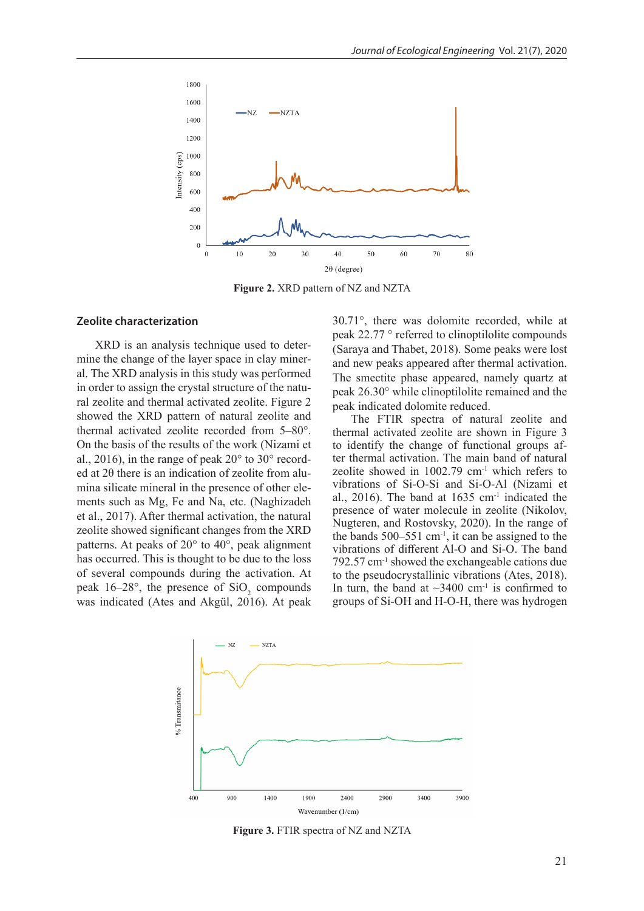

**Figure 2.** XRD pattern of NZ and NZTA

#### **Zeolite characterization**

XRD is an analysis technique used to determine the change of the layer space in clay mineral. The XRD analysis in this study was performed in order to assign the crystal structure of the natural zeolite and thermal activated zeolite. Figure 2 showed the XRD pattern of natural zeolite and thermal activated zeolite recorded from 5–80°. On the basis of the results of the work (Nizami et al., 2016), in the range of peak 20° to 30° recorded at 2θ there is an indication of zeolite from alumina silicate mineral in the presence of other elements such as Mg, Fe and Na, etc. (Naghizadeh et al., 2017). After thermal activation, the natural zeolite showed significant changes from the XRD patterns. At peaks of 20° to 40°, peak alignment has occurred. This is thought to be due to the loss of several compounds during the activation. At peak  $16-28^\circ$ , the presence of  $SiO_2$  compounds was indicated (Ates and Akgül, 2016). At peak

30.71°, there was dolomite recorded, while at peak 22.77 ° referred to clinoptilolite compounds (Saraya and Thabet, 2018). Some peaks were lost and new peaks appeared after thermal activation. The smectite phase appeared, namely quartz at peak 26.30° while clinoptilolite remained and the peak indicated dolomite reduced.

The FTIR spectra of natural zeolite and thermal activated zeolite are shown in Figure 3 to identify the change of functional groups after thermal activation. The main band of natural zeolite showed in  $1002.79$  cm<sup>-1</sup> which refers to vibrations of Si-O-Si and Si-O-Al (Nizami et al., 2016). The band at  $1635 \text{ cm}^{-1}$  indicated the presence of water molecule in zeolite (Nikolov, Nugteren, and Rostovsky, 2020). In the range of the bands  $500-551$  cm<sup>-1</sup>, it can be assigned to the vibrations of different Al-O and Si-O. The band 792.57 cm-1 showed the exchangeable cations due to the pseudocrystallinic vibrations (Ates, 2018). In turn, the band at  $\sim$ 3400 cm<sup>-1</sup> is confirmed to groups of Si-OH and H-O-H, there was hydrogen



**Figure 3.** FTIR spectra of NZ and NZTA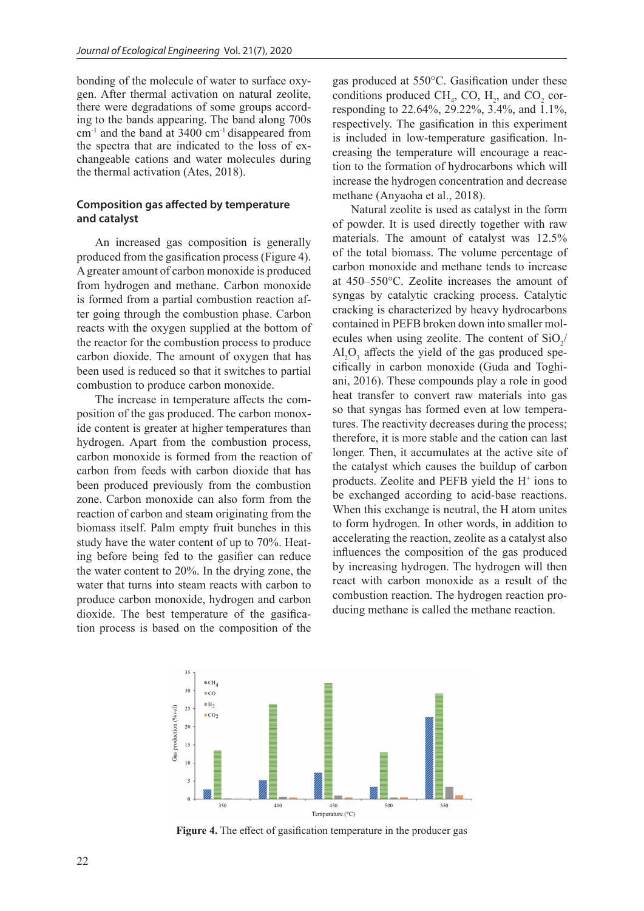bonding of the molecule of water to surface oxygen. After thermal activation on natural zeolite, there were degradations of some groups according to the bands appearing. The band along 700s cm-1 and the band at 3400 cm-1 disappeared from the spectra that are indicated to the loss of exchangeable cations and water molecules during the thermal activation (Ates, 2018).

# **Composition gas affected by temperature and catalyst**

An increased gas composition is generally produced from the gasification process (Figure 4). A greater amount of carbon monoxide is produced from hydrogen and methane. Carbon monoxide is formed from a partial combustion reaction after going through the combustion phase. Carbon reacts with the oxygen supplied at the bottom of the reactor for the combustion process to produce carbon dioxide. The amount of oxygen that has been used is reduced so that it switches to partial combustion to produce carbon monoxide.

The increase in temperature affects the composition of the gas produced. The carbon monoxide content is greater at higher temperatures than hydrogen. Apart from the combustion process, carbon monoxide is formed from the reaction of carbon from feeds with carbon dioxide that has been produced previously from the combustion zone. Carbon monoxide can also form from the reaction of carbon and steam originating from the biomass itself. Palm empty fruit bunches in this study have the water content of up to 70%. Heating before being fed to the gasifier can reduce the water content to 20%. In the drying zone, the water that turns into steam reacts with carbon to produce carbon monoxide, hydrogen and carbon dioxide. The best temperature of the gasification process is based on the composition of the

gas produced at 550°C. Gasification under these conditions produced CH<sub>4</sub>, CO,  $H_2$ , and CO<sub>2</sub> corresponding to 22.64%, 29.22%, 3.4%, and 1.1%, respectively. The gasification in this experiment is included in low-temperature gasification. Increasing the temperature will encourage a reaction to the formation of hydrocarbons which will increase the hydrogen concentration and decrease methane (Anyaoha et al., 2018).

Natural zeolite is used as catalyst in the form of powder. It is used directly together with raw materials. The amount of catalyst was 12.5% of the total biomass. The volume percentage of carbon monoxide and methane tends to increase at 450–550°C. Zeolite increases the amount of syngas by catalytic cracking process. Catalytic cracking is characterized by heavy hydrocarbons contained in PEFB broken down into smaller molecules when using zeolite. The content of  $SiO_2/$  $\text{Al}_2\text{O}_3$  affects the yield of the gas produced specifically in carbon monoxide (Guda and Toghiani, 2016). These compounds play a role in good heat transfer to convert raw materials into gas so that syngas has formed even at low temperatures. The reactivity decreases during the process; therefore, it is more stable and the cation can last longer. Then, it accumulates at the active site of the catalyst which causes the buildup of carbon products. Zeolite and PEFB yield the H<sup>+</sup> ions to be exchanged according to acid-base reactions. When this exchange is neutral, the H atom unites to form hydrogen. In other words, in addition to accelerating the reaction, zeolite as a catalyst also influences the composition of the gas produced by increasing hydrogen. The hydrogen will then react with carbon monoxide as a result of the combustion reaction. The hydrogen reaction producing methane is called the methane reaction.



**Figure 4.** The effect of gasification temperature in the producer gas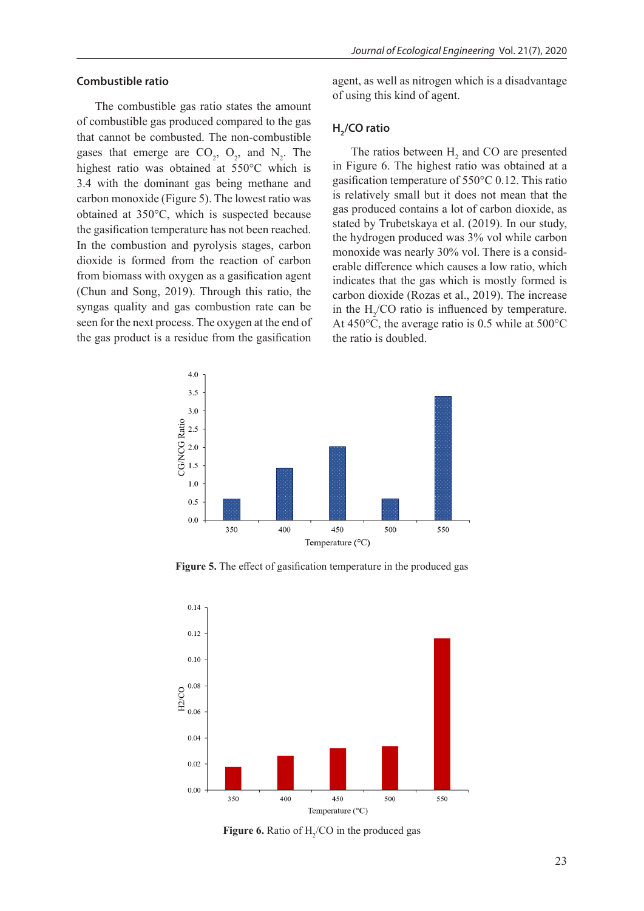### **Combustible ratio**

The combustible gas ratio states the amount of combustible gas produced compared to the gas that cannot be combusted. The non-combustible gases that emerge are  $CO_2$ ,  $O_2$ , and  $N_2$ . The highest ratio was obtained at 550°C which is 3.4 with the dominant gas being methane and carbon monoxide (Figure 5). The lowest ratio was obtained at 350°C, which is suspected because the gasification temperature has not been reached. In the combustion and pyrolysis stages, carbon dioxide is formed from the reaction of carbon from biomass with oxygen as a gasification agent (Chun and Song, 2019). Through this ratio, the syngas quality and gas combustion rate can be seen for the next process. The oxygen at the end of the gas product is a residue from the gasification

agent, as well as nitrogen which is a disadvantage of using this kind of agent.

# **H**<sub>2</sub>/CO ratio

The ratios between  $H_2$  and CO are presented in Figure 6. The highest ratio was obtained at a gasification temperature of 550°C 0.12. This ratio is relatively small but it does not mean that the gas produced contains a lot of carbon dioxide, as stated by Trubetskaya et al. (2019). In our study, the hydrogen produced was 3% vol while carbon monoxide was nearly 30% vol. There is a considerable difference which causes a low ratio, which indicates that the gas which is mostly formed is carbon dioxide (Rozas et al., 2019). The increase in the  $H_2$ /CO ratio is influenced by temperature. At 450°C, the average ratio is 0.5 while at 500°C the ratio is doubled.



**Figure 5.** The effect of gasification temperature in the produced gas



**Figure 6.** Ratio of  $H_2$ /CO in the produced gas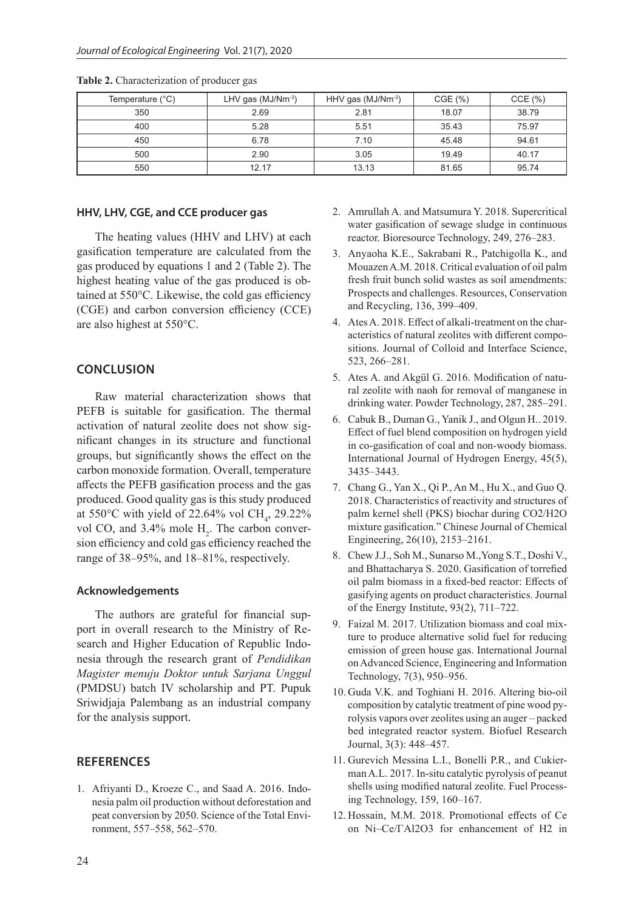| Temperature (°C) | LHV gas $(MJ/Nm^{-3})$ | HHV gas $(MJ/Nm^{-3})$ | CGE(%) | CCE(%) |
|------------------|------------------------|------------------------|--------|--------|
| 350              | 2.69                   | 2.81                   | 18.07  | 38.79  |
| 400              | 5.28                   | 5.51                   | 35.43  | 75.97  |
| 450              | 6.78                   | 7.10                   | 45.48  | 94.61  |
| 500              | 2.90                   | 3.05                   | 19.49  | 40.17  |
| 550              | 12.17                  | 13.13                  | 81.65  | 95.74  |

**Table 2.** Characterization of producer gas

#### **HHV, LHV, CGE, and CCE producer gas**

The heating values (HHV and LHV) at each gasification temperature are calculated from the gas produced by equations 1 and 2 (Table 2). The highest heating value of the gas produced is obtained at 550°C. Likewise, the cold gas efficiency (CGE) and carbon conversion efficiency (CCE) are also highest at 550°C.

# **CONCLUSION**

Raw material characterization shows that PEFB is suitable for gasification. The thermal activation of natural zeolite does not show significant changes in its structure and functional groups, but significantly shows the effect on the carbon monoxide formation. Overall, temperature affects the PEFB gasification process and the gas produced. Good quality gas is this study produced at 550°C with yield of 22.64% vol CH<sub>4</sub>, 29.22% vol CO, and  $3.4\%$  mole  $H_2$ . The carbon conversion efficiency and cold gas efficiency reached the range of 38–95%, and 18–81%, respectively.

#### **Acknowledgements**

The authors are grateful for financial support in overall research to the Ministry of Research and Higher Education of Republic Indonesia through the research grant of *Pendidikan Magister menuju Doktor untuk Sarjana Unggul* (PMDSU) batch IV scholarship and PT. Pupuk Sriwidjaja Palembang as an industrial company for the analysis support.

# **REFERENCES**

1. Afriyanti D., Kroeze C., and Saad A. 2016. Indonesia palm oil production without deforestation and peat conversion by 2050. Science of the Total Environment, 557–558, 562–570.

- 2. Amrullah A. and Matsumura Y. 2018. Supercritical water gasification of sewage sludge in continuous reactor. Bioresource Technology, 249, 276–283.
- 3. Anyaoha K.E., Sakrabani R., Patchigolla K., and Mouazen A.M. 2018. Critical evaluation of oil palm fresh fruit bunch solid wastes as soil amendments: Prospects and challenges. Resources, Conservation and Recycling, 136, 399–409.
- 4. Ates A. 2018. Effect of alkali-treatment on the characteristics of natural zeolites with different compositions. Journal of Colloid and Interface Science, 523, 266–281.
- 5. Ates A. and Akgül G. 2016. Modification of natural zeolite with naoh for removal of manganese in drinking water. Powder Technology, 287, 285–291.
- 6. Cabuk B., Duman G., Yanik J., and Olgun H.. 2019. Effect of fuel blend composition on hydrogen yield in co-gasification of coal and non-woody biomass. International Journal of Hydrogen Energy, 45(5), 3435–3443.
- 7. Chang G., Yan X., Qi P., An M., Hu X., and Guo Q. 2018. Characteristics of reactivity and structures of palm kernel shell (PKS) biochar during CO2/H2O mixture gasification." Chinese Journal of Chemical Engineering, 26(10), 2153–2161.
- 8. Chew J.J., Soh M., Sunarso M.,Yong S.T., Doshi V., and Bhattacharya S. 2020. Gasification of torrefied oil palm biomass in a fixed-bed reactor: Effects of gasifying agents on product characteristics. Journal of the Energy Institute, 93(2), 711–722.
- 9. Faizal M. 2017. Utilization biomass and coal mixture to produce alternative solid fuel for reducing emission of green house gas. International Journal on Advanced Science, Engineering and Information Technology, 7(3), 950–956.
- 10. Guda V.K. and Toghiani H. 2016. Altering bio-oil composition by catalytic treatment of pine wood pyrolysis vapors over zeolites using an auger – packed bed integrated reactor system. Biofuel Research Journal, 3(3): 448–457.
- 11. Gurevich Messina L.I., Bonelli P.R., and Cukierman A.L. 2017. In-situ catalytic pyrolysis of peanut shells using modified natural zeolite. Fuel Processing Technology, 159, 160–167.
- 12. Hossain, M.M. 2018. Promotional effects of Ce on Ni–Ce/ΓAl2O3 for enhancement of H2 in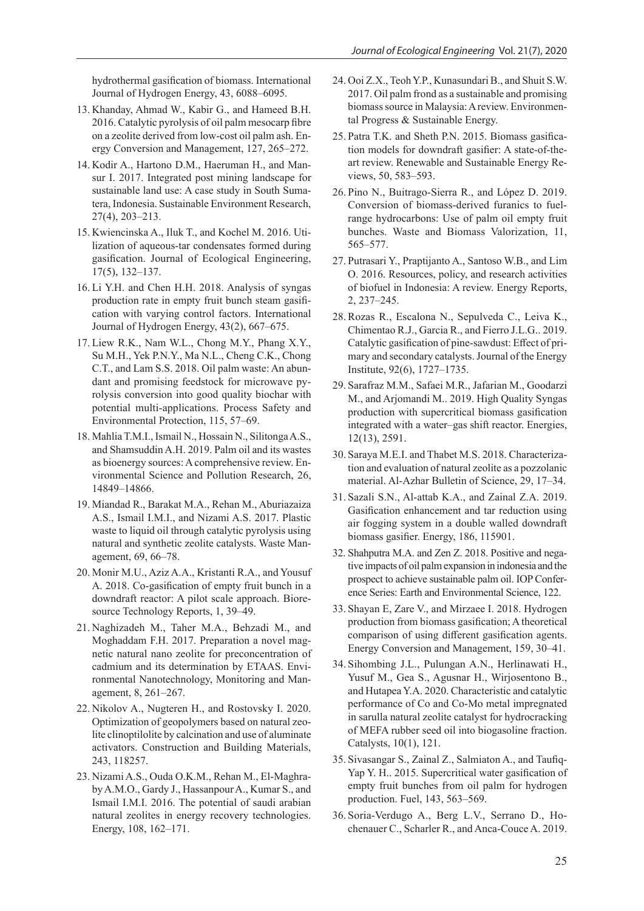hydrothermal gasification of biomass. International Journal of Hydrogen Energy, 43, 6088–6095.

- 13. Khanday, Ahmad W., Kabir G., and Hameed B.H. 2016. Catalytic pyrolysis of oil palm mesocarp fibre on a zeolite derived from low-cost oil palm ash. Energy Conversion and Management, 127, 265–272.
- 14. Kodir A., Hartono D.M., Haeruman H., and Mansur I. 2017. Integrated post mining landscape for sustainable land use: A case study in South Sumatera, Indonesia. Sustainable Environment Research, 27(4), 203–213.
- 15. Kwiencinska A., Iluk T., and Kochel M. 2016. Utilization of aqueous-tar condensates formed during gasification. Journal of Ecological Engineering, 17(5), 132–137.
- 16. Li Y.H. and Chen H.H. 2018. Analysis of syngas production rate in empty fruit bunch steam gasification with varying control factors. International Journal of Hydrogen Energy, 43(2), 667–675.
- 17. Liew R.K., Nam W.L., Chong M.Y., Phang X.Y., Su M.H., Yek P.N.Y., Ma N.L., Cheng C.K., Chong C.T., and Lam S.S. 2018. Oil palm waste: An abundant and promising feedstock for microwave pyrolysis conversion into good quality biochar with potential multi-applications. Process Safety and Environmental Protection, 115, 57–69.
- 18. Mahlia T.M.I., Ismail N., Hossain N., Silitonga A.S., and Shamsuddin A.H. 2019. Palm oil and its wastes as bioenergy sources: A comprehensive review. Environmental Science and Pollution Research, 26, 14849–14866.
- 19. Miandad R., Barakat M.A., Rehan M., Aburiazaiza A.S., Ismail I.M.I., and Nizami A.S. 2017. Plastic waste to liquid oil through catalytic pyrolysis using natural and synthetic zeolite catalysts. Waste Management, 69, 66–78.
- 20. Monir M.U., Aziz A.A., Kristanti R.A., and Yousuf A. 2018. Co-gasification of empty fruit bunch in a downdraft reactor: A pilot scale approach. Bioresource Technology Reports, 1, 39–49.
- 21. Naghizadeh M., Taher M.A., Behzadi M., and Moghaddam F.H. 2017. Preparation a novel magnetic natural nano zeolite for preconcentration of cadmium and its determination by ETAAS. Environmental Nanotechnology, Monitoring and Management, 8, 261–267.
- 22. Nikolov A., Nugteren H., and Rostovsky I. 2020. Optimization of geopolymers based on natural zeolite clinoptilolite by calcination and use of aluminate activators. Construction and Building Materials, 243, 118257.
- 23. Nizami A.S., Ouda O.K.M., Rehan M., El-Maghraby A.M.O., Gardy J., Hassanpour A., Kumar S., and Ismail I.M.I. 2016. The potential of saudi arabian natural zeolites in energy recovery technologies. Energy, 108, 162–171.
- 24. Ooi Z.X., Teoh Y.P., Kunasundari B., and Shuit S.W. 2017. Oil palm frond as a sustainable and promising biomass source in Malaysia: A review. Environmental Progress & Sustainable Energy.
- 25. Patra T.K. and Sheth P.N. 2015. Biomass gasification models for downdraft gasifier: A state-of-theart review. Renewable and Sustainable Energy Reviews, 50, 583–593.
- 26. Pino N., Buitrago-Sierra R., and López D. 2019. Conversion of biomass-derived furanics to fuelrange hydrocarbons: Use of palm oil empty fruit bunches. Waste and Biomass Valorization, 11, 565–577.
- 27. Putrasari Y., Praptijanto A., Santoso W.B., and Lim O. 2016. Resources, policy, and research activities of biofuel in Indonesia: A review. Energy Reports, 2, 237–245.
- 28.Rozas R., Escalona N., Sepulveda C., Leiva K., Chimentao R.J., Garcia R., and Fierro J.L.G.. 2019. Catalytic gasification of pine-sawdust: Effect of primary and secondary catalysts. Journal of the Energy Institute, 92(6), 1727–1735.
- 29. Sarafraz M.M., Safaei M.R., Jafarian M., Goodarzi M., and Arjomandi M.. 2019. High Quality Syngas production with supercritical biomass gasification integrated with a water–gas shift reactor. Energies, 12(13), 2591.
- 30. Saraya M.E.I. and Thabet M.S. 2018. Characterization and evaluation of natural zeolite as a pozzolanic material. Al-Azhar Bulletin of Science, 29, 17–34.
- 31. Sazali S.N., Al-attab K.A., and Zainal Z.A. 2019. Gasification enhancement and tar reduction using air fogging system in a double walled downdraft biomass gasifier. Energy, 186, 115901.
- 32. Shahputra M.A. and Zen Z. 2018. Positive and negative impacts of oil palm expansion in indonesia and the prospect to achieve sustainable palm oil. IOP Conference Series: Earth and Environmental Science, 122.
- 33. Shayan E, Zare V., and Mirzaee I. 2018. Hydrogen production from biomass gasification; A theoretical comparison of using different gasification agents. Energy Conversion and Management, 159, 30–41.
- 34. Sihombing J.L., Pulungan A.N., Herlinawati H., Yusuf M., Gea S., Agusnar H., Wirjosentono B., and Hutapea Y.A. 2020. Characteristic and catalytic performance of Co and Co-Mo metal impregnated in sarulla natural zeolite catalyst for hydrocracking of MEFA rubber seed oil into biogasoline fraction. Catalysts, 10(1), 121.
- 35. Sivasangar S., Zainal Z., Salmiaton A., and Taufiq-Yap Y. H.. 2015. Supercritical water gasification of empty fruit bunches from oil palm for hydrogen production. Fuel, 143, 563–569.
- 36. Soria-Verdugo A., Berg L.V., Serrano D., Hochenauer C., Scharler R., and Anca-Couce A. 2019.